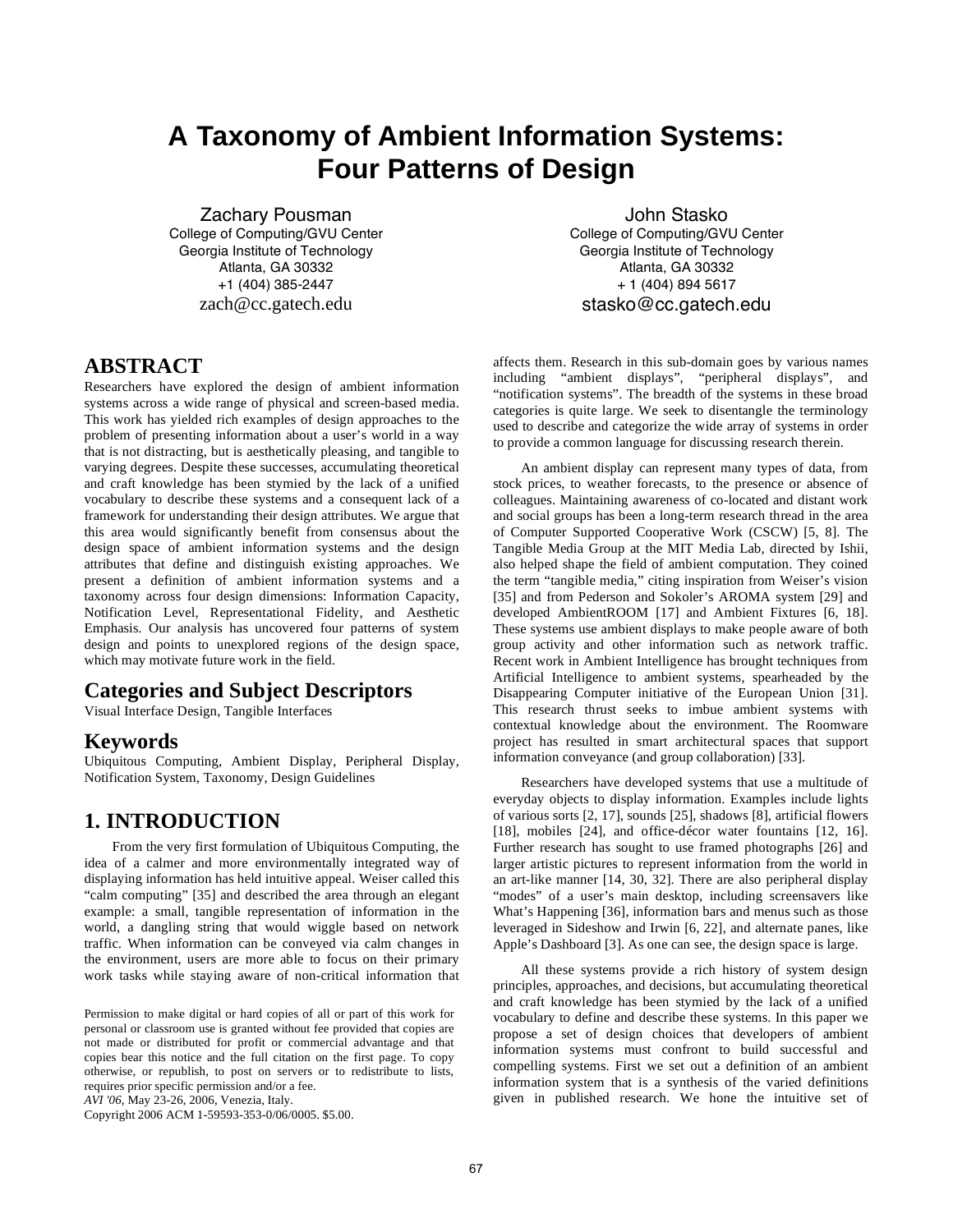# **A Taxonomy of Ambient Information Systems: Four Patterns of Design**

Zachary Pousman College of Computing/GVU Center Georgia Institute of Technology Atlanta, GA 30332 +1 (404) 385-2447 zach@cc.gatech.edu

**ABSTRACT**

Researchers have explored the design of ambient information systems across a wide range of physical and screen-based media. This work has yielded rich examples of design approaches to the problem of presenting information about a user's world in a way that is not distracting, but is aesthetically pleasing, and tangible to varying degrees. Despite these successes, accumulating theoretical and craft knowledge has been stymied by the lack of a unified vocabulary to describe these systems and a consequent lack of a framework for understanding their design attributes. We argue that this area would significantly benefit from consensus about the design space of ambient information systems and the design attributes that define and distinguish existing approaches. We present a definition of ambient information systems and a taxonomy across four design dimensions: Information Capacity, Notification Level, Representational Fidelity, and Aesthetic Emphasis. Our analysis has uncovered four patterns of system design and points to unexplored regions of the design space, which may motivate future work in the field.

# **Categories and Subject Descriptors**

Visual Interface Design, Tangible Interfaces

# **Keywords**

Ubiquitous Computing, Ambient Display, Peripheral Display, Notification System, Taxonomy, Design Guidelines

# **1. INTRODUCTION**

From the very first formulation of Ubiquitous Computing, the idea of a calmer and more environmentally integrated way of displaying information has held intuitive appeal. Weiser called this "calm computing" [35] and described the area through an elegant example: a small, tangible representation of information in the world, a dangling string that would wiggle based on network traffic. When information can be conveyed via calm changes in the environment, users are more able to focus on their primary work tasks while staying aware of non-critical information that

Permission to make digital or hard copies of all or part of this work for personal or classroom use is granted without fee provided that copies are not made or distributed for profit or commercial advantage and that copies bear this notice and the full citation on the first page. To copy otherwise, or republish, to post on servers or to redistribute to lists, requires prior specific permission and/or a fee.

*AVI '06*, May 23-26, 2006, Venezia, Italy.

Copyright 2006 ACM 1-59593-353-0/06/0005. \$5.00.

John Stasko College of Computing/GVU Center Georgia Institute of Technology Atlanta, GA 30332 + 1 (404) 894 5617 stasko@cc.gatech.edu

affects them. Research in this sub-domain goes by various names including "ambient displays", "peripheral displays", and "notification systems". The breadth of the systems in these broad categories is quite large. We seek to disentangle the terminology used to describe and categorize the wide array of systems in order to provide a common language for discussing research therein.

An ambient display can represent many types of data, from stock prices, to weather forecasts, to the presence or absence of colleagues. Maintaining awareness of co-located and distant work and social groups has been a long-term research thread in the area of Computer Supported Cooperative Work (CSCW) [5, 8]. The Tangible Media Group at the MIT Media Lab, directed by Ishii, also helped shape the field of ambient computation. They coined the term "tangible media," citing inspiration from Weiser's vision [35] and from Pederson and Sokoler's AROMA system [29] and developed AmbientROOM [17] and Ambient Fixtures [6, 18]. These systems use ambient displays to make people aware of both group activity and other information such as network traffic. Recent work in Ambient Intelligence has brought techniques from Artificial Intelligence to ambient systems, spearheaded by the Disappearing Computer initiative of the European Union [31]. This research thrust seeks to imbue ambient systems with contextual knowledge about the environment. The Roomware project has resulted in smart architectural spaces that support information conveyance (and group collaboration) [33].

Researchers have developed systems that use a multitude of everyday objects to display information. Examples include lights of various sorts [2, 17], sounds [25], shadows [8], artificial flowers [18], mobiles [24], and office-décor water fountains [12, 16]. Further research has sought to use framed photographs [26] and larger artistic pictures to represent information from the world in an art-like manner [14, 30, 32]. There are also peripheral display "modes" of a user's main desktop, including screensavers like What's Happening [36], information bars and menus such as those leveraged in Sideshow and Irwin [6, 22], and alternate panes, like Apple's Dashboard [3]. As one can see, the design space is large.

All these systems provide a rich history of system design principles, approaches, and decisions, but accumulating theoretical and craft knowledge has been stymied by the lack of a unified vocabulary to define and describe these systems. In this paper we propose a set of design choices that developers of ambient information systems must confront to build successful and compelling systems. First we set out a definition of an ambient information system that is a synthesis of the varied definitions given in published research. We hone the intuitive set of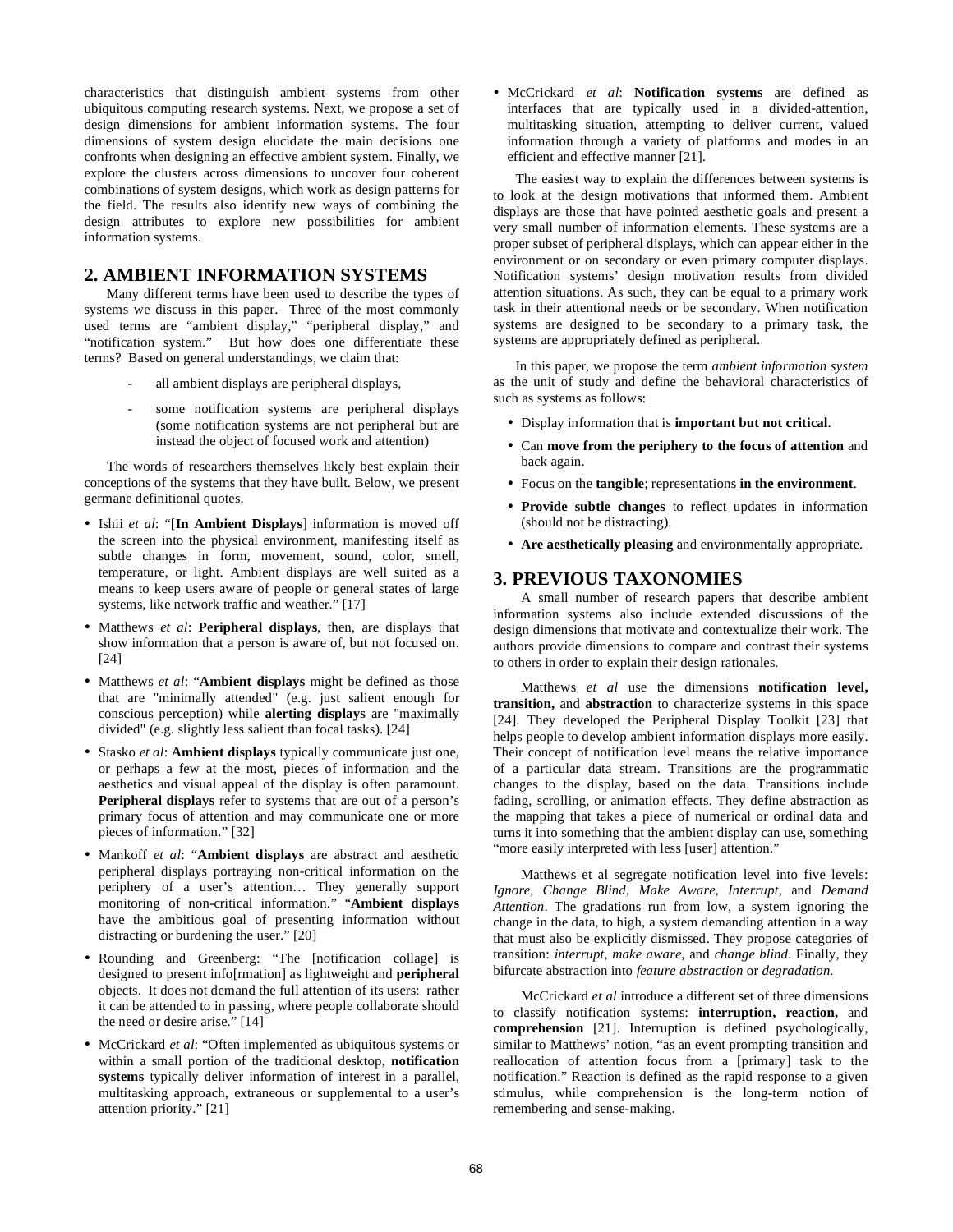characteristics that distinguish ambient systems from other ubiquitous computing research systems. Next, we propose a set of design dimensions for ambient information systems. The four dimensions of system design elucidate the main decisions one confronts when designing an effective ambient system. Finally, we explore the clusters across dimensions to uncover four coherent combinations of system designs, which work as design patterns for the field. The results also identify new ways of combining the design attributes to explore new possibilities for ambient information systems.

# **2. AMBIENT INFORMATION SYSTEMS**

Many different terms have been used to describe the types of systems we discuss in this paper. Three of the most commonly used terms are "ambient display," "peripheral display," and "notification system." But how does one differentiate these terms? Based on general understandings, we claim that:

- all ambient displays are peripheral displays,
- some notification systems are peripheral displays (some notification systems are not peripheral but are instead the object of focused work and attention)

The words of researchers themselves likely best explain their conceptions of the systems that they have built. Below, we present germane definitional quotes.

- Ishii *et al*: "[**In Ambient Displays**] information is moved off the screen into the physical environment, manifesting itself as subtle changes in form, movement, sound, color, smell, temperature, or light. Ambient displays are well suited as a means to keep users aware of people or general states of large systems, like network traffic and weather." [17]
- Matthews *et al*: **Peripheral displays**, then, are displays that show information that a person is aware of, but not focused on. [24]
- Matthews *et al*: "**Ambient displays** might be defined as those that are "minimally attended" (e.g. just salient enough for conscious perception) while **alerting displays** are "maximally divided" (e.g. slightly less salient than focal tasks). [24]
- Stasko *et al*: **Ambient displays** typically communicate just one, or perhaps a few at the most, pieces of information and the aesthetics and visual appeal of the display is often paramount. **Peripheral displays** refer to systems that are out of a person's primary focus of attention and may communicate one or more pieces of information." [32]
- Mankoff *et al*: "**Ambient displays** are abstract and aesthetic peripheral displays portraying non-critical information on the periphery of a user's attention… They generally support monitoring of non-critical information." "**Ambient displays** have the ambitious goal of presenting information without distracting or burdening the user." [20]
- Rounding and Greenberg: "The [notification collage] is designed to present info[rmation] as lightweight and **peripheral** objects. It does not demand the full attention of its users: rather it can be attended to in passing, where people collaborate should the need or desire arise." [14]
- McCrickard *et al*: "Often implemented as ubiquitous systems or within a small portion of the traditional desktop, **notification systems** typically deliver information of interest in a parallel, multitasking approach, extraneous or supplemental to a user's attention priority." [21]

• McCrickard *et al*: **Notification systems** are defined as interfaces that are typically used in a divided-attention, multitasking situation, attempting to deliver current, valued information through a variety of platforms and modes in an efficient and effective manner [21].

The easiest way to explain the differences between systems is to look at the design motivations that informed them. Ambient displays are those that have pointed aesthetic goals and present a very small number of information elements. These systems are a proper subset of peripheral displays, which can appear either in the environment or on secondary or even primary computer displays. Notification systems' design motivation results from divided attention situations. As such, they can be equal to a primary work task in their attentional needs or be secondary. When notification systems are designed to be secondary to a primary task, the systems are appropriately defined as peripheral.

In this paper, we propose the term *ambient information system* as the unit of study and define the behavioral characteristics of such as systems as follows:

- Display information that is **important but not critical**.
- Can **move from the periphery to the focus of attention** and back again.
- Focus on the **tangible**; representations **in the environment**.
- **Provide subtle changes** to reflect updates in information (should not be distracting).
- **Are aesthetically pleasing** and environmentally appropriate.

#### **3. PREVIOUS TAXONOMIES**

A small number of research papers that describe ambient information systems also include extended discussions of the design dimensions that motivate and contextualize their work. The authors provide dimensions to compare and contrast their systems to others in order to explain their design rationales.

Matthews *et al* use the dimensions **notification level, transition,** and **abstraction** to characterize systems in this space [24]. They developed the Peripheral Display Toolkit [23] that helps people to develop ambient information displays more easily. Their concept of notification level means the relative importance of a particular data stream. Transitions are the programmatic changes to the display, based on the data. Transitions include fading, scrolling, or animation effects. They define abstraction as the mapping that takes a piece of numerical or ordinal data and turns it into something that the ambient display can use, something "more easily interpreted with less [user] attention."

Matthews et al segregate notification level into five levels: *Ignore, Change Blind, Make Aware, Interrupt,* and *Demand Attention*. The gradations run from low, a system ignoring the change in the data, to high, a system demanding attention in a way that must also be explicitly dismissed. They propose categories of transition: *interrupt*, *make aware*, and *change blind*. Finally, they bifurcate abstraction into *feature abstraction* or *degradation.*

McCrickard *et al* introduce a different set of three dimensions to classify notification systems: **interruption, reaction,** and **comprehension** [21]. Interruption is defined psychologically, similar to Matthews' notion, "as an event prompting transition and reallocation of attention focus from a [primary] task to the notification." Reaction is defined as the rapid response to a given stimulus, while comprehension is the long-term notion of remembering and sense-making.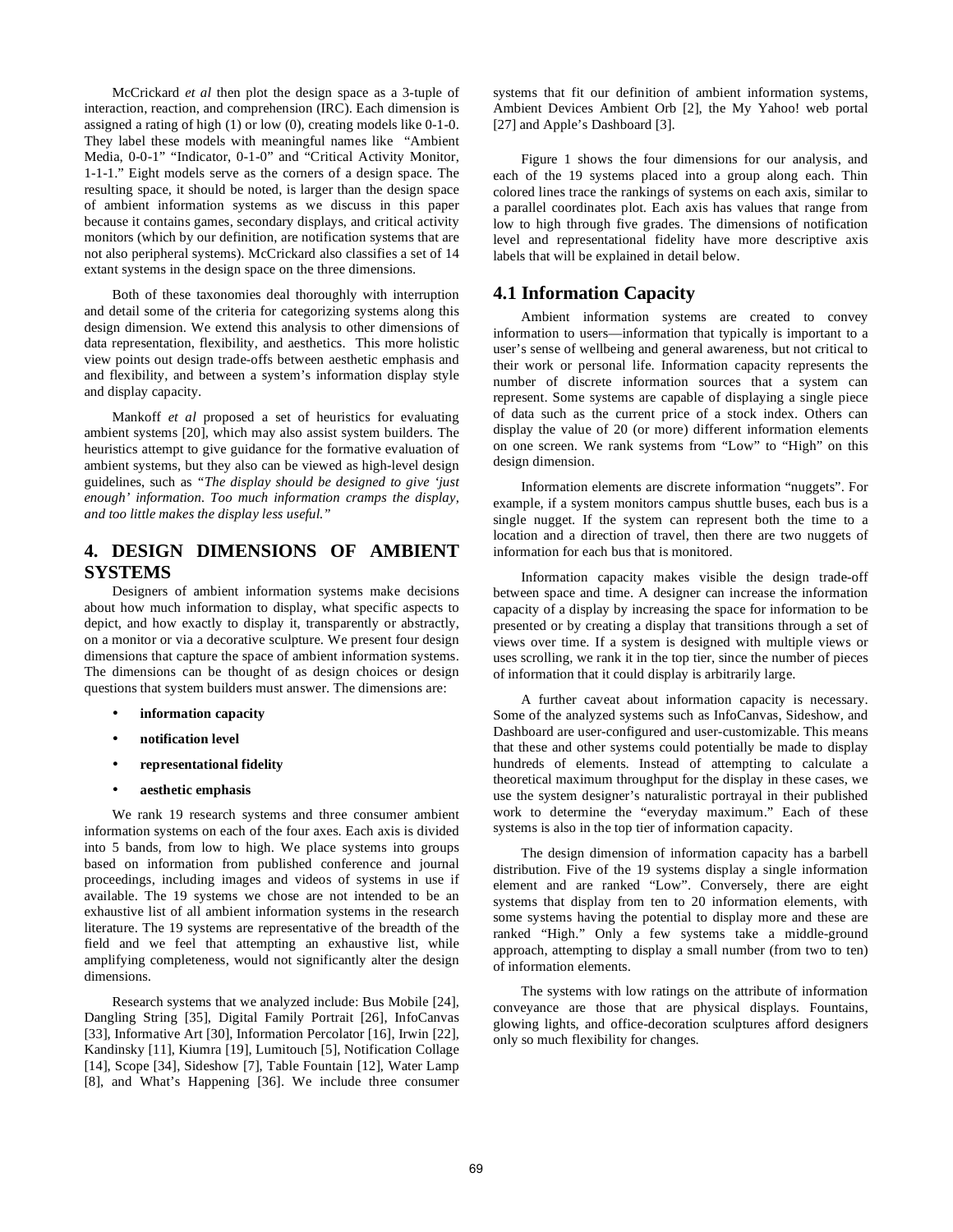McCrickard *et al* then plot the design space as a 3-tuple of interaction, reaction, and comprehension (IRC). Each dimension is assigned a rating of high (1) or low (0), creating models like 0-1-0. They label these models with meaningful names like "Ambient Media, 0-0-1" "Indicator, 0-1-0" and "Critical Activity Monitor, 1-1-1." Eight models serve as the corners of a design space. The resulting space, it should be noted, is larger than the design space of ambient information systems as we discuss in this paper because it contains games, secondary displays, and critical activity monitors (which by our definition, are notification systems that are not also peripheral systems). McCrickard also classifies a set of 14 extant systems in the design space on the three dimensions.

Both of these taxonomies deal thoroughly with interruption and detail some of the criteria for categorizing systems along this design dimension. We extend this analysis to other dimensions of data representation, flexibility, and aesthetics. This more holistic view points out design trade-offs between aesthetic emphasis and and flexibility, and between a system's information display style and display capacity.

Mankoff *et al* proposed a set of heuristics for evaluating ambient systems [20], which may also assist system builders. The heuristics attempt to give guidance for the formative evaluation of ambient systems, but they also can be viewed as high-level design guidelines, such as *"The display should be designed to give 'just enough' information. Too much information cramps the display, and too little makes the display less useful."*

# **4. DESIGN DIMENSIONS OF AMBIENT SYSTEMS**

Designers of ambient information systems make decisions about how much information to display, what specific aspects to depict, and how exactly to display it, transparently or abstractly, on a monitor or via a decorative sculpture. We present four design dimensions that capture the space of ambient information systems. The dimensions can be thought of as design choices or design questions that system builders must answer. The dimensions are:

- **information capacity**
- **notification level**
- **representational fidelity**
- **aesthetic emphasis**

We rank 19 research systems and three consumer ambient information systems on each of the four axes. Each axis is divided into 5 bands, from low to high. We place systems into groups based on information from published conference and journal proceedings, including images and videos of systems in use if available. The 19 systems we chose are not intended to be an exhaustive list of all ambient information systems in the research literature. The 19 systems are representative of the breadth of the field and we feel that attempting an exhaustive list, while amplifying completeness, would not significantly alter the design dimensions.

Research systems that we analyzed include: Bus Mobile [24], Dangling String [35], Digital Family Portrait [26], InfoCanvas [33], Informative Art [30], Information Percolator [16], Irwin [22], Kandinsky [11], Kiumra [19], Lumitouch [5], Notification Collage [14], Scope [34], Sideshow [7], Table Fountain [12], Water Lamp [8], and What's Happening [36]. We include three consumer

systems that fit our definition of ambient information systems, Ambient Devices Ambient Orb [2], the My Yahoo! web portal [27] and Apple's Dashboard [3].

Figure 1 shows the four dimensions for our analysis, and each of the 19 systems placed into a group along each. Thin colored lines trace the rankings of systems on each axis, similar to a parallel coordinates plot. Each axis has values that range from low to high through five grades. The dimensions of notification level and representational fidelity have more descriptive axis labels that will be explained in detail below.

#### **4.1 Information Capacity**

Ambient information systems are created to convey information to users—information that typically is important to a user's sense of wellbeing and general awareness, but not critical to their work or personal life. Information capacity represents the number of discrete information sources that a system can represent. Some systems are capable of displaying a single piece of data such as the current price of a stock index. Others can display the value of 20 (or more) different information elements on one screen. We rank systems from "Low" to "High" on this design dimension.

Information elements are discrete information "nuggets". For example, if a system monitors campus shuttle buses, each bus is a single nugget. If the system can represent both the time to a location and a direction of travel, then there are two nuggets of information for each bus that is monitored.

Information capacity makes visible the design trade-off between space and time. A designer can increase the information capacity of a display by increasing the space for information to be presented or by creating a display that transitions through a set of views over time. If a system is designed with multiple views or uses scrolling, we rank it in the top tier, since the number of pieces of information that it could display is arbitrarily large.

A further caveat about information capacity is necessary. Some of the analyzed systems such as InfoCanvas, Sideshow, and Dashboard are user-configured and user-customizable. This means that these and other systems could potentially be made to display hundreds of elements. Instead of attempting to calculate a theoretical maximum throughput for the display in these cases, we use the system designer's naturalistic portrayal in their published work to determine the "everyday maximum." Each of these systems is also in the top tier of information capacity.

The design dimension of information capacity has a barbell distribution. Five of the 19 systems display a single information element and are ranked "Low". Conversely, there are eight systems that display from ten to 20 information elements, with some systems having the potential to display more and these are ranked "High." Only a few systems take a middle-ground approach, attempting to display a small number (from two to ten) of information elements.

The systems with low ratings on the attribute of information conveyance are those that are physical displays. Fountains, glowing lights, and office-decoration sculptures afford designers only so much flexibility for changes.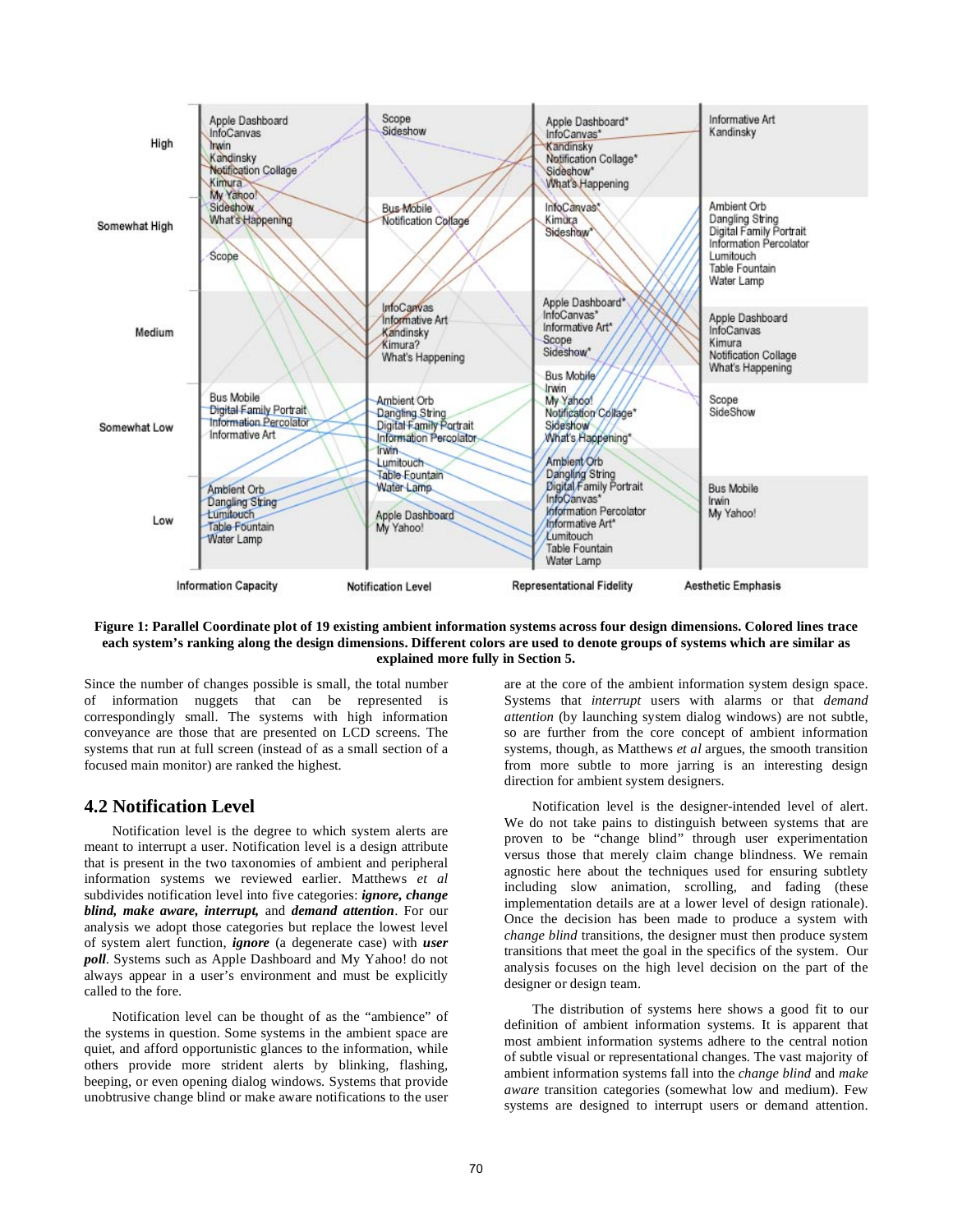

#### Figure 1: Parallel Coordinate plot of 19 existing ambient information systems across four design dimensions. Colored lines trace each system's ranking along the design dimensions. Different colors are used to denote groups of systems which are similar as **explained more fully in Section 5.**

Since the number of changes possible is small, the total number of information nuggets that can be represented is correspondingly small. The systems with high information conveyance are those that are presented on LCD screens. The systems that run at full screen (instead of as a small section of a focused main monitor) are ranked the highest.

# **4.2 Notification Level**

Notification level is the degree to which system alerts are meant to interrupt a user. Notification level is a design attribute that is present in the two taxonomies of ambient and peripheral information systems we reviewed earlier. Matthews *et al* subdivides notification level into five categories: *ignore, change blind, make aware, interrupt,* and *demand attention*. For our analysis we adopt those categories but replace the lowest level of system alert function, *ignore* (a degenerate case) with *user poll*. Systems such as Apple Dashboard and My Yahoo! do not always appear in a user's environment and must be explicitly called to the fore.

Notification level can be thought of as the "ambience" of the systems in question. Some systems in the ambient space are quiet, and afford opportunistic glances to the information, while others provide more strident alerts by blinking, flashing, beeping, or even opening dialog windows. Systems that provide unobtrusive change blind or make aware notifications to the user are at the core of the ambient information system design space. Systems that *interrupt* users with alarms or that *demand attention* (by launching system dialog windows) are not subtle, so are further from the core concept of ambient information systems, though, as Matthews *et al* argues, the smooth transition from more subtle to more jarring is an interesting design direction for ambient system designers.

Notification level is the designer-intended level of alert. We do not take pains to distinguish between systems that are proven to be "change blind" through user experimentation versus those that merely claim change blindness. We remain agnostic here about the techniques used for ensuring subtlety including slow animation, scrolling, and fading (these implementation details are at a lower level of design rationale). Once the decision has been made to produce a system with *change blind* transitions, the designer must then produce system transitions that meet the goal in the specifics of the system. Our analysis focuses on the high level decision on the part of the designer or design team.

The distribution of systems here shows a good fit to our definition of ambient information systems. It is apparent that most ambient information systems adhere to the central notion of subtle visual or representational changes. The vast majority of ambient information systems fall into the *change blind* and *make aware* transition categories (somewhat low and medium). Few systems are designed to interrupt users or demand attention.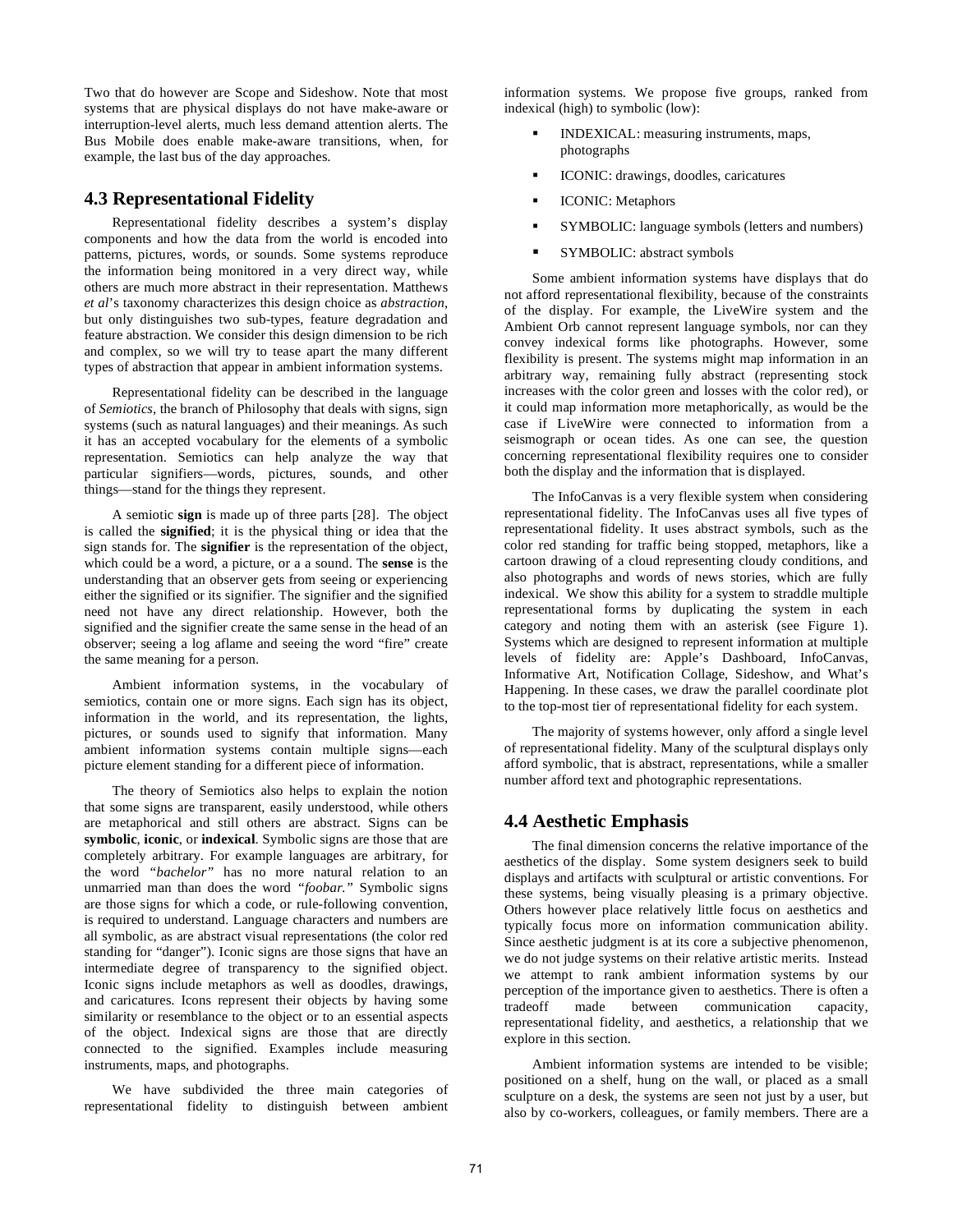Two that do however are Scope and Sideshow. Note that most systems that are physical displays do not have make-aware or interruption-level alerts, much less demand attention alerts. The Bus Mobile does enable make-aware transitions, when, for example, the last bus of the day approaches.

### **4.3 Representational Fidelity**

Representational fidelity describes a system's display components and how the data from the world is encoded into patterns, pictures, words, or sounds. Some systems reproduce the information being monitored in a very direct way, while others are much more abstract in their representation. Matthews *et al*'s taxonomy characterizes this design choice as *abstraction*, but only distinguishes two sub-types, feature degradation and feature abstraction. We consider this design dimension to be rich and complex, so we will try to tease apart the many different types of abstraction that appear in ambient information systems.

Representational fidelity can be described in the language of *Semiotics*, the branch of Philosophy that deals with signs, sign systems (such as natural languages) and their meanings. As such it has an accepted vocabulary for the elements of a symbolic representation. Semiotics can help analyze the way that particular signifiers—words, pictures, sounds, and other things—stand for the things they represent.

A semiotic **sign** is made up of three parts [28]. The object is called the **signified**; it is the physical thing or idea that the sign stands for. The **signifier** is the representation of the object, which could be a word, a picture, or a a sound. The **sense** is the understanding that an observer gets from seeing or experiencing either the signified or its signifier. The signifier and the signified need not have any direct relationship. However, both the signified and the signifier create the same sense in the head of an observer; seeing a log aflame and seeing the word "fire" create the same meaning for a person.

Ambient information systems, in the vocabulary of semiotics, contain one or more signs. Each sign has its object, information in the world, and its representation, the lights, pictures, or sounds used to signify that information. Many ambient information systems contain multiple signs—each picture element standing for a different piece of information.

The theory of Semiotics also helps to explain the notion that some signs are transparent, easily understood, while others are metaphorical and still others are abstract. Signs can be **symbolic**, **iconic**, or **indexical**. Symbolic signs are those that are completely arbitrary. For example languages are arbitrary, for the word *"bachelor"* has no more natural relation to an unmarried man than does the word *"foobar."* Symbolic signs are those signs for which a code, or rule-following convention, is required to understand. Language characters and numbers are all symbolic, as are abstract visual representations (the color red standing for "danger"). Iconic signs are those signs that have an intermediate degree of transparency to the signified object. Iconic signs include metaphors as well as doodles, drawings, and caricatures. Icons represent their objects by having some similarity or resemblance to the object or to an essential aspects of the object. Indexical signs are those that are directly connected to the signified. Examples include measuring instruments, maps, and photographs.

We have subdivided the three main categories of representational fidelity to distinguish between ambient information systems. We propose five groups, ranked from indexical (high) to symbolic (low):

- INDEXICAL: measuring instruments, maps, photographs
- ICONIC: drawings, doodles, caricatures
- ICONIC: Metaphors
- **SYMBOLIC:** language symbols (letters and numbers)
- SYMBOLIC: abstract symbols

Some ambient information systems have displays that do not afford representational flexibility, because of the constraints of the display. For example, the LiveWire system and the Ambient Orb cannot represent language symbols, nor can they convey indexical forms like photographs. However, some flexibility is present. The systems might map information in an arbitrary way, remaining fully abstract (representing stock increases with the color green and losses with the color red), or it could map information more metaphorically, as would be the case if LiveWire were connected to information from a seismograph or ocean tides. As one can see, the question concerning representational flexibility requires one to consider both the display and the information that is displayed.

The InfoCanvas is a very flexible system when considering representational fidelity. The InfoCanvas uses all five types of representational fidelity. It uses abstract symbols, such as the color red standing for traffic being stopped, metaphors, like a cartoon drawing of a cloud representing cloudy conditions, and also photographs and words of news stories, which are fully indexical. We show this ability for a system to straddle multiple representational forms by duplicating the system in each category and noting them with an asterisk (see Figure 1). Systems which are designed to represent information at multiple levels of fidelity are: Apple's Dashboard, InfoCanvas, Informative Art, Notification Collage, Sideshow, and What's Happening. In these cases, we draw the parallel coordinate plot to the top-most tier of representational fidelity for each system.

The majority of systems however, only afford a single level of representational fidelity. Many of the sculptural displays only afford symbolic, that is abstract, representations, while a smaller number afford text and photographic representations.

## **4.4 Aesthetic Emphasis**

The final dimension concerns the relative importance of the aesthetics of the display. Some system designers seek to build displays and artifacts with sculptural or artistic conventions. For these systems, being visually pleasing is a primary objective. Others however place relatively little focus on aesthetics and typically focus more on information communication ability. Since aesthetic judgment is at its core a subjective phenomenon, we do not judge systems on their relative artistic merits. Instead we attempt to rank ambient information systems by our perception of the importance given to aesthetics. There is often a tradeoff made between communication capacity, representational fidelity, and aesthetics, a relationship that we explore in this section.

Ambient information systems are intended to be visible; positioned on a shelf, hung on the wall, or placed as a small sculpture on a desk, the systems are seen not just by a user, but also by co-workers, colleagues, or family members. There are a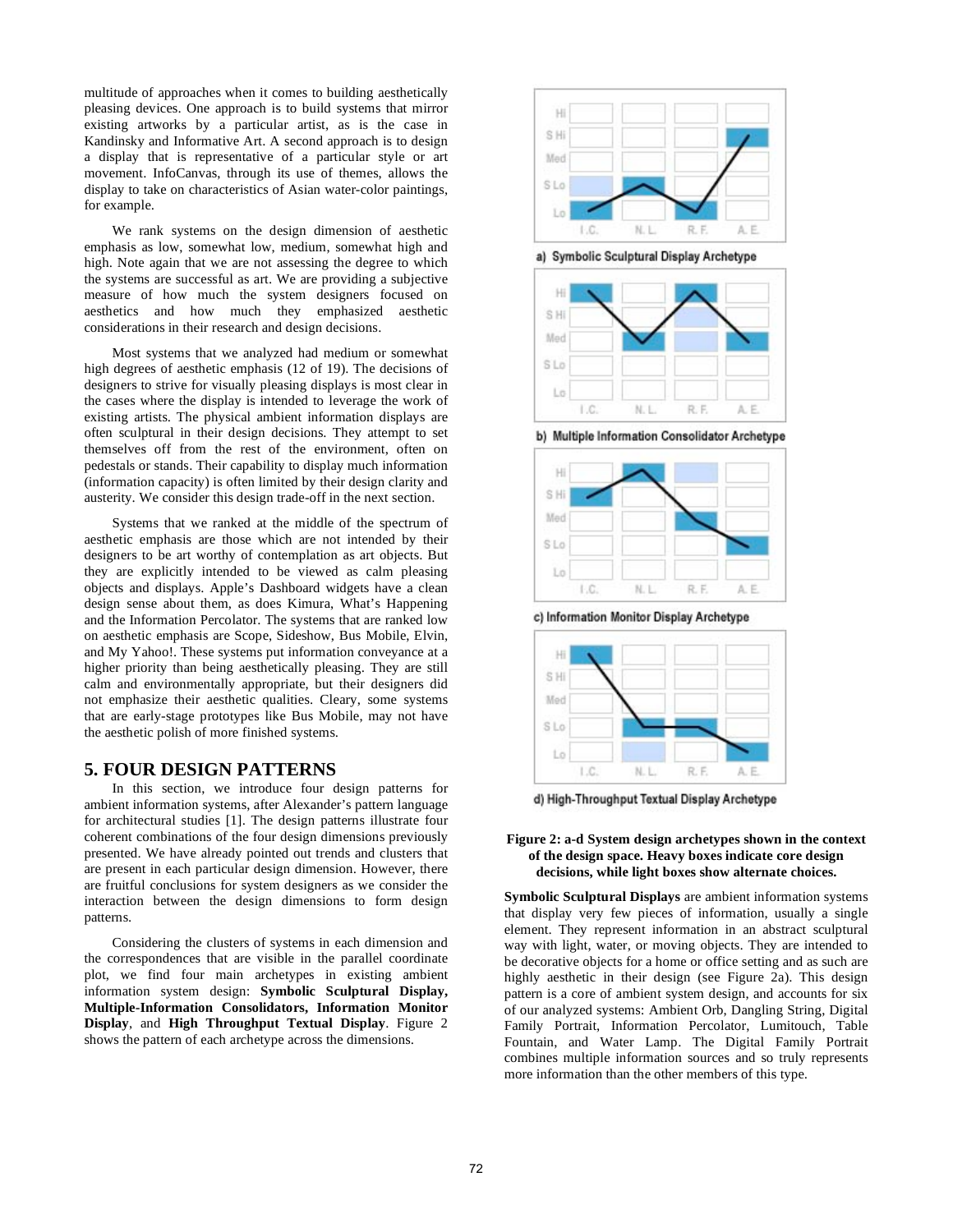multitude of approaches when it comes to building aesthetically pleasing devices. One approach is to build systems that mirror existing artworks by a particular artist, as is the case in Kandinsky and Informative Art. A second approach is to design a display that is representative of a particular style or art movement. InfoCanvas, through its use of themes, allows the display to take on characteristics of Asian water-color paintings, for example.

We rank systems on the design dimension of aesthetic emphasis as low, somewhat low, medium, somewhat high and high. Note again that we are not assessing the degree to which the systems are successful as art. We are providing a subjective measure of how much the system designers focused on aesthetics and how much they emphasized aesthetic considerations in their research and design decisions.

Most systems that we analyzed had medium or somewhat high degrees of aesthetic emphasis (12 of 19). The decisions of designers to strive for visually pleasing displays is most clear in the cases where the display is intended to leverage the work of existing artists. The physical ambient information displays are often sculptural in their design decisions. They attempt to set themselves off from the rest of the environment, often on pedestals or stands. Their capability to display much information (information capacity) is often limited by their design clarity and austerity. We consider this design trade-off in the next section.

Systems that we ranked at the middle of the spectrum of aesthetic emphasis are those which are not intended by their designers to be art worthy of contemplation as art objects. But they are explicitly intended to be viewed as calm pleasing objects and displays. Apple's Dashboard widgets have a clean design sense about them, as does Kimura, What's Happening and the Information Percolator. The systems that are ranked low on aesthetic emphasis are Scope, Sideshow, Bus Mobile, Elvin, and My Yahoo!. These systems put information conveyance at a higher priority than being aesthetically pleasing. They are still calm and environmentally appropriate, but their designers did not emphasize their aesthetic qualities. Cleary, some systems that are early-stage prototypes like Bus Mobile, may not have the aesthetic polish of more finished systems.

# **5. FOUR DESIGN PATTERNS**

In this section, we introduce four design patterns for ambient information systems, after Alexander's pattern language for architectural studies [1]. The design patterns illustrate four coherent combinations of the four design dimensions previously presented. We have already pointed out trends and clusters that are present in each particular design dimension. However, there are fruitful conclusions for system designers as we consider the interaction between the design dimensions to form design patterns.

Considering the clusters of systems in each dimension and the correspondences that are visible in the parallel coordinate plot, we find four main archetypes in existing ambient information system design: **Symbolic Sculptural Display, Multiple-Information Consolidators, Information Monitor Display**, and **High Throughput Textual Display**. Figure 2 shows the pattern of each archetype across the dimensions.



a) Symbolic Sculptural Display Archetype



b) Multiple Information Consolidator Archetype



c) Information Monitor Display Archetype



d) High-Throughput Textual Display Archetype

#### **Figure 2: a-d System design archetypes shown in the context of the design space. Heavy boxes indicate core design decisions, while light boxes show alternate choices.**

**Symbolic Sculptural Displays** are ambient information systems that display very few pieces of information, usually a single element. They represent information in an abstract sculptural way with light, water, or moving objects. They are intended to be decorative objects for a home or office setting and as such are highly aesthetic in their design (see Figure 2a). This design pattern is a core of ambient system design, and accounts for six of our analyzed systems: Ambient Orb, Dangling String, Digital Family Portrait, Information Percolator, Lumitouch, Table Fountain, and Water Lamp. The Digital Family Portrait combines multiple information sources and so truly represents more information than the other members of this type.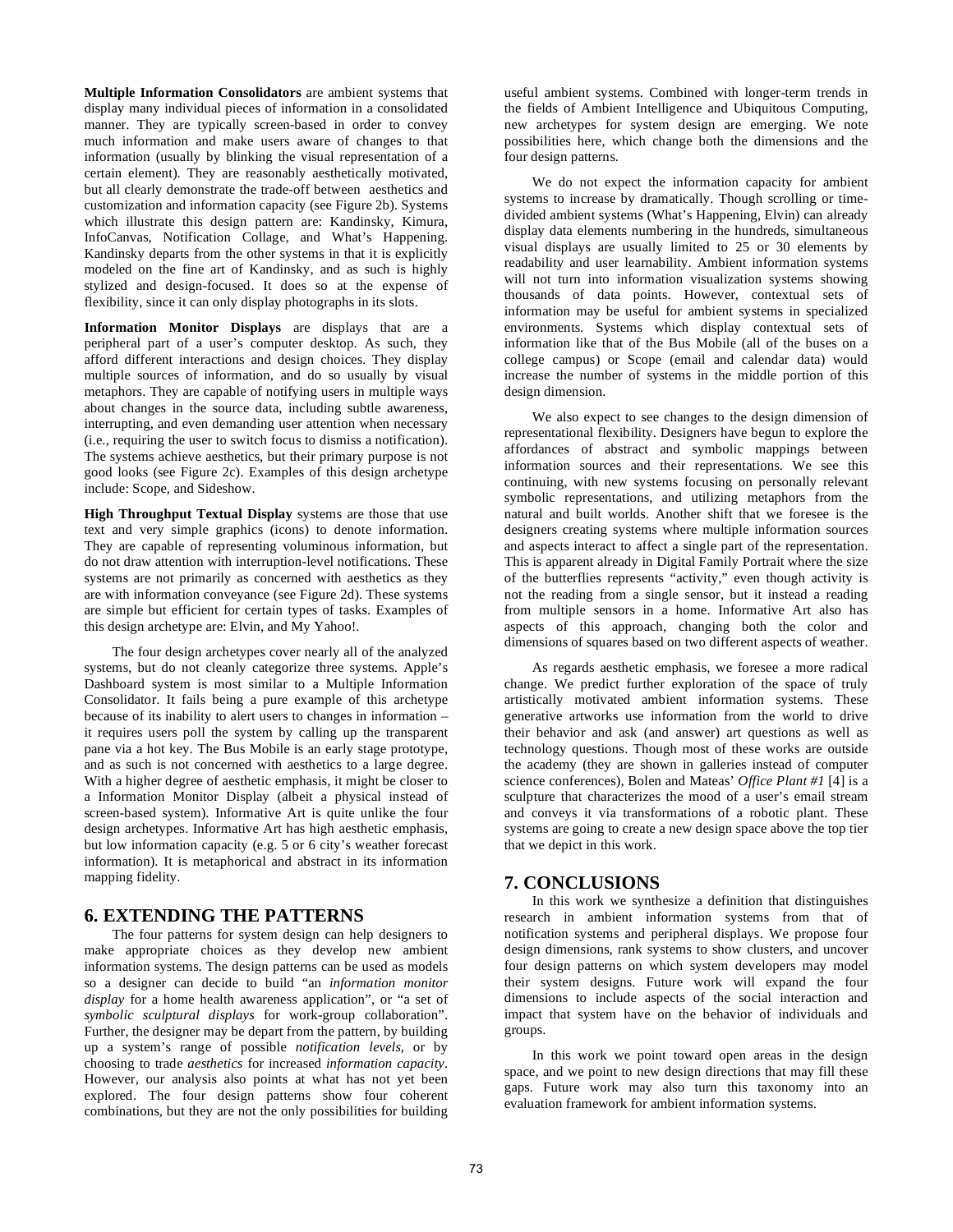**Multiple Information Consolidators** are ambient systems that display many individual pieces of information in a consolidated manner. They are typically screen-based in order to convey much information and make users aware of changes to that information (usually by blinking the visual representation of a certain element). They are reasonably aesthetically motivated, but all clearly demonstrate the trade-off between aesthetics and customization and information capacity (see Figure 2b). Systems which illustrate this design pattern are: Kandinsky, Kimura, InfoCanvas, Notification Collage, and What's Happening. Kandinsky departs from the other systems in that it is explicitly modeled on the fine art of Kandinsky, and as such is highly stylized and design-focused. It does so at the expense of flexibility, since it can only display photographs in its slots.

**Information Monitor Displays** are displays that are a peripheral part of a user's computer desktop. As such, they afford different interactions and design choices. They display multiple sources of information, and do so usually by visual metaphors. They are capable of notifying users in multiple ways about changes in the source data, including subtle awareness, interrupting, and even demanding user attention when necessary (i.e., requiring the user to switch focus to dismiss a notification). The systems achieve aesthetics, but their primary purpose is not good looks (see Figure 2c). Examples of this design archetype include: Scope, and Sideshow.

**High Throughput Textual Display** systems are those that use text and very simple graphics (icons) to denote information. They are capable of representing voluminous information, but do not draw attention with interruption-level notifications. These systems are not primarily as concerned with aesthetics as they are with information conveyance (see Figure 2d). These systems are simple but efficient for certain types of tasks. Examples of this design archetype are: Elvin, and My Yahoo!.

The four design archetypes cover nearly all of the analyzed systems, but do not cleanly categorize three systems. Apple's Dashboard system is most similar to a Multiple Information Consolidator. It fails being a pure example of this archetype because of its inability to alert users to changes in information – it requires users poll the system by calling up the transparent pane via a hot key. The Bus Mobile is an early stage prototype, and as such is not concerned with aesthetics to a large degree. With a higher degree of aesthetic emphasis, it might be closer to a Information Monitor Display (albeit a physical instead of screen-based system). Informative Art is quite unlike the four design archetypes. Informative Art has high aesthetic emphasis, but low information capacity (e.g. 5 or 6 city's weather forecast information). It is metaphorical and abstract in its information mapping fidelity.

#### **6. EXTENDING THE PATTERNS**

The four patterns for system design can help designers to make appropriate choices as they develop new ambient information systems. The design patterns can be used as models so a designer can decide to build "an *information monitor display* for a home health awareness application", or "a set of *symbolic sculptural displays* for work-group collaboration". Further, the designer may be depart from the pattern, by building up a system's range of possible *notification levels*, or by choosing to trade *aesthetics* for increased *information capacity*. However, our analysis also points at what has not yet been explored. The four design patterns show four coherent combinations, but they are not the only possibilities for building useful ambient systems. Combined with longer-term trends in the fields of Ambient Intelligence and Ubiquitous Computing, new archetypes for system design are emerging. We note possibilities here, which change both the dimensions and the four design patterns.

We do not expect the information capacity for ambient systems to increase by dramatically. Though scrolling or timedivided ambient systems (What's Happening, Elvin) can already display data elements numbering in the hundreds, simultaneous visual displays are usually limited to 25 or 30 elements by readability and user learnability. Ambient information systems will not turn into information visualization systems showing thousands of data points. However, contextual sets of information may be useful for ambient systems in specialized environments. Systems which display contextual sets of information like that of the Bus Mobile (all of the buses on a college campus) or Scope (email and calendar data) would increase the number of systems in the middle portion of this design dimension.

We also expect to see changes to the design dimension of representational flexibility. Designers have begun to explore the affordances of abstract and symbolic mappings between information sources and their representations. We see this continuing, with new systems focusing on personally relevant symbolic representations, and utilizing metaphors from the natural and built worlds. Another shift that we foresee is the designers creating systems where multiple information sources and aspects interact to affect a single part of the representation. This is apparent already in Digital Family Portrait where the size of the butterflies represents "activity," even though activity is not the reading from a single sensor, but it instead a reading from multiple sensors in a home. Informative Art also has aspects of this approach, changing both the color and dimensions of squares based on two different aspects of weather.

As regards aesthetic emphasis, we foresee a more radical change. We predict further exploration of the space of truly artistically motivated ambient information systems. These generative artworks use information from the world to drive their behavior and ask (and answer) art questions as well as technology questions. Though most of these works are outside the academy (they are shown in galleries instead of computer science conferences), Bolen and Mateas' *Office Plant #1* [4] is a sculpture that characterizes the mood of a user's email stream and conveys it via transformations of a robotic plant. These systems are going to create a new design space above the top tier that we depict in this work.

# **7. CONCLUSIONS**

In this work we synthesize a definition that distinguishes research in ambient information systems from that of notification systems and peripheral displays. We propose four design dimensions, rank systems to show clusters, and uncover four design patterns on which system developers may model their system designs. Future work will expand the four dimensions to include aspects of the social interaction and impact that system have on the behavior of individuals and groups.

In this work we point toward open areas in the design space, and we point to new design directions that may fill these gaps. Future work may also turn this taxonomy into an evaluation framework for ambient information systems.